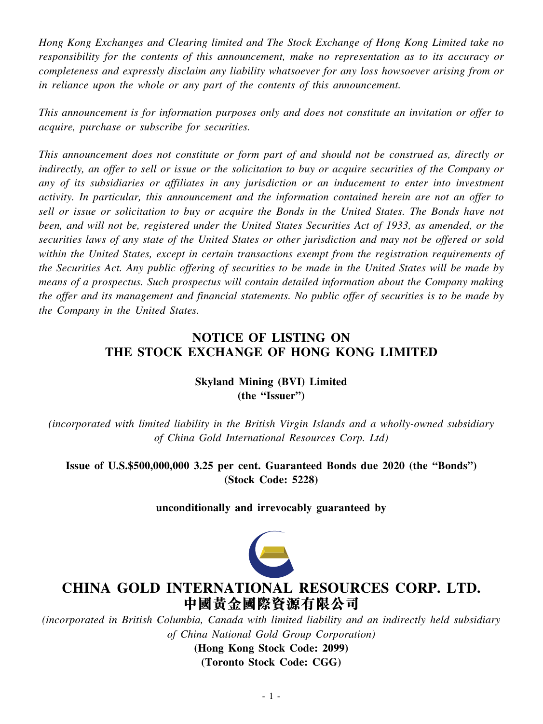*Hong Kong Exchanges and Clearing limited and The Stock Exchange of Hong Kong Limited take no responsibility for the contents of this announcement, make no representation as to its accuracy or completeness and expressly disclaim any liability whatsoever for any loss howsoever arising from or in reliance upon the whole or any part of the contents of this announcement.*

*This announcement is for information purposes only and does not constitute an invitation or offer to acquire, purchase or subscribe for securities.*

*This announcement does not constitute or form part of and should not be construed as, directly or* indirectly, an offer to sell or issue or the solicitation to buy or acquire securities of the Company or *any of its subsidiaries or affiliates in any jurisdiction or an inducement to enter into investment activity. In particular, this announcement and the information contained herein are not an offer to* sell or issue or solicitation to buy or acquire the Bonds in the United States. The Bonds have not been, and will not be, registered under the United States Securities Act of 1933, as amended, or the securities laws of any state of the United States or other jurisdiction and may not be offered or sold *within the United States, except in certain transactions exempt from the registration requirements of* the Securities Act. Any public offering of securities to be made in the United States will be made by *means of a prospectus. Such prospectus will contain detailed information about the Company making* the offer and its management and financial statements. No public offer of securities is to be made by *the Company in the United States.*

# **NOTICE OF LISTING ON THE STOCK EXCHANGE OF HONG KONG LIMITED**

## **Skyland Mining (BVI) Limited (the "Issuer")**

*(incorporated with limited liability in the British Virgin Islands and a wholly-owned subsidiary of China Gold International Resources Corp. Ltd)*

**Issue of U.S.\$500,000,000 3.25 per cent. Guaranteed Bonds due 2020 (the "Bonds") (Stock Code: 5228)**

**unconditionally and irrevocably guaranteed by**



# **CHINA GOLD INTERNATIONAL RESOURCES CORP. LTD. 中國黃金國際資源有限公司**

*(incorporated in British Columbia, Canada with limited liability and an indirectly held subsidiary of China National Gold Group Corporation)*

> **(Hong Kong Stock Code: 2099) (Toronto Stock Code: CGG)**